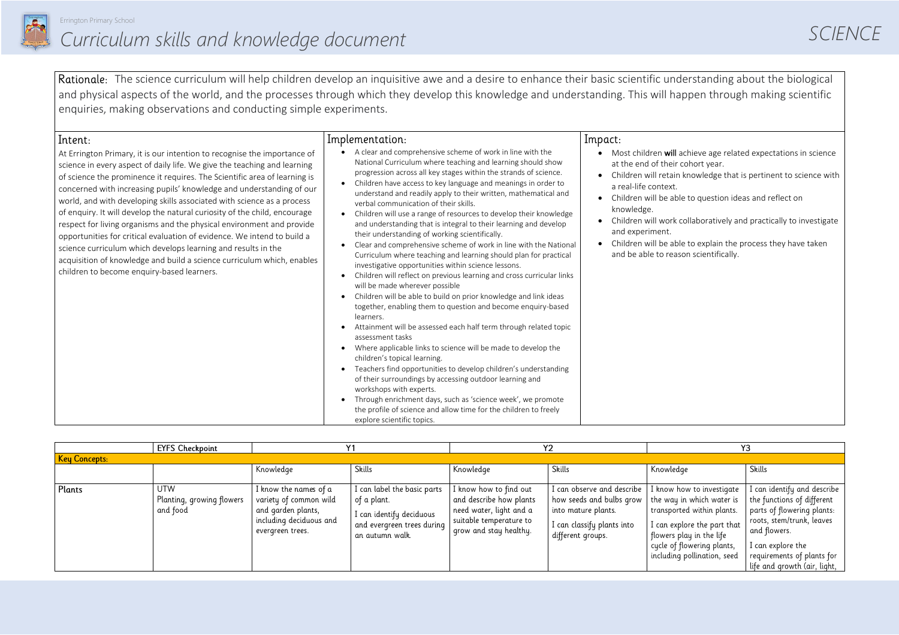

#### *SCIENCE*

- achieve age related expectations in science cohort year.
- in knowledge that is pertinent to science with
- ble to question ideas and reflect on
- collaboratively and practically to investigate
- ble to explain the process they have taken ason scientifically.

Rationale: The science curriculum will help children develop an inquisitive awe and a desire to enhance their basic scientific understanding about the biological and physical aspects of the world, and the processes through which they develop this knowledge and understanding. This will happen through making scientific enquiries, making observations and conducting simple experiments.

| Intent:                                                                                                                                                                                                                                                                                                                                                                                                                                                                                                                                                                                                                                                                                                                                                                                                       | Implementation:                                                                                                                                                                                                                                                                                                                                                                                                                                                                                                                                                                                                                                                                                                                                                                                                                                                                                                                                                                                                                                                                                                                                                                                                                                                                                                                                                                                                                                                                                                                                                                                                                                                         | Impact:                                                                                                                                                                                                             |
|---------------------------------------------------------------------------------------------------------------------------------------------------------------------------------------------------------------------------------------------------------------------------------------------------------------------------------------------------------------------------------------------------------------------------------------------------------------------------------------------------------------------------------------------------------------------------------------------------------------------------------------------------------------------------------------------------------------------------------------------------------------------------------------------------------------|-------------------------------------------------------------------------------------------------------------------------------------------------------------------------------------------------------------------------------------------------------------------------------------------------------------------------------------------------------------------------------------------------------------------------------------------------------------------------------------------------------------------------------------------------------------------------------------------------------------------------------------------------------------------------------------------------------------------------------------------------------------------------------------------------------------------------------------------------------------------------------------------------------------------------------------------------------------------------------------------------------------------------------------------------------------------------------------------------------------------------------------------------------------------------------------------------------------------------------------------------------------------------------------------------------------------------------------------------------------------------------------------------------------------------------------------------------------------------------------------------------------------------------------------------------------------------------------------------------------------------------------------------------------------------|---------------------------------------------------------------------------------------------------------------------------------------------------------------------------------------------------------------------|
| At Errington Primary, it is our intention to recognise the importance of<br>science in every aspect of daily life. We give the teaching and learning<br>of science the prominence it requires. The Scientific area of learning is<br>concerned with increasing pupils' knowledge and understanding of our<br>world, and with developing skills associated with science as a process<br>of enquiry. It will develop the natural curiosity of the child, encourage<br>respect for living organisms and the physical environment and provide<br>opportunities for critical evaluation of evidence. We intend to build a<br>science curriculum which develops learning and results in the<br>acquisition of knowledge and build a science curriculum which, enables<br>children to become enquiry-based learners. | A clear and comprehensive scheme of work in line with the<br>National Curriculum where teaching and learning should show<br>progression across all key stages within the strands of science.<br>Children have access to key language and meanings in order to<br>$\bullet$<br>understand and readily apply to their written, mathematical and<br>verbal communication of their skills.<br>Children will use a range of resources to develop their knowledge<br>$\bullet$<br>and understanding that is integral to their learning and develop<br>their understanding of working scientifically.<br>Clear and comprehensive scheme of work in line with the National<br>$\bullet$<br>Curriculum where teaching and learning should plan for practical<br>investigative opportunities within science lessons.<br>Children will reflect on previous learning and cross curricular links<br>$\bullet$<br>will be made wherever possible<br>Children will be able to build on prior knowledge and link ideas<br>$\bullet$<br>together, enabling them to question and become enquiry-based<br>learners.<br>Attainment will be assessed each half term through related topic<br>$\bullet$<br>assessment tasks<br>Where applicable links to science will be made to develop the<br>$\bullet$<br>children's topical learning.<br>Teachers find opportunities to develop children's understanding<br>$\bullet$<br>of their surroundings by accessing outdoor learning and<br>workshops with experts.<br>Through enrichment days, such as 'science week', we promote<br>$\bullet$<br>the profile of science and allow time for the children to freely<br>explore scientific topics. | Most children will<br>at the end of their<br>Children will retai<br>a real-life context.<br>Children will be ak<br>knowledge.<br>Children will work<br>and experiment.<br>Children will be al<br>and be able to rea |

|                      | <b>EYFS Checkpoint</b>                              |                                                                                                                      |                                                                                                                         |                                                                                                                                   |                                                                                                                                  |                                                                                                                                                                                                              | Y3                                                                                                                                                                                                                      |
|----------------------|-----------------------------------------------------|----------------------------------------------------------------------------------------------------------------------|-------------------------------------------------------------------------------------------------------------------------|-----------------------------------------------------------------------------------------------------------------------------------|----------------------------------------------------------------------------------------------------------------------------------|--------------------------------------------------------------------------------------------------------------------------------------------------------------------------------------------------------------|-------------------------------------------------------------------------------------------------------------------------------------------------------------------------------------------------------------------------|
| <b>Key Concepts:</b> |                                                     |                                                                                                                      |                                                                                                                         |                                                                                                                                   |                                                                                                                                  |                                                                                                                                                                                                              |                                                                                                                                                                                                                         |
|                      |                                                     | Knowledge                                                                                                            | Skills                                                                                                                  | Knowledge                                                                                                                         | Skills                                                                                                                           | Knowledge                                                                                                                                                                                                    | Skills                                                                                                                                                                                                                  |
| Plants               | <b>UTW</b><br>Planting, growing flowers<br>and food | I know the names of a<br>variety of common wild<br>and garden plants,<br>including deciduous and<br>evergreen trees. | I can label the basic parts<br>of a plant.<br>I can identify deciduous<br>and evergreen trees during<br>an autumn walk. | I know how to find out<br>and describe how plants<br>need water, light and a<br>suitable temperature to<br>grow and stay healthy. | I can observe and describe<br>how seeds and bulbs grow<br>into mature plants.<br>I can classify plants into<br>different groups. | I know how to investigate<br>the way in which water is<br>transported within plants.<br>I can explore the part that<br>flowers play in the life<br>cycle of flowering plants,<br>including pollination, seed | I can identify and describe<br>the functions of different<br>parts of flowering plants:<br>roots, stem/trunk, leaves<br>and flowers.<br>I can explore the<br>requirements of plants for<br>life and growth (air, light, |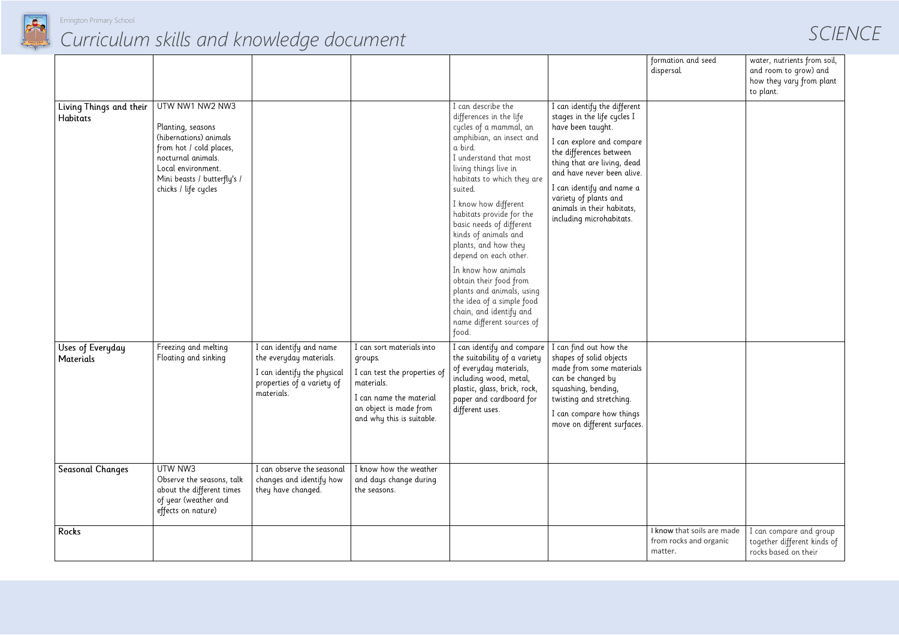

*SCIENCE*

| tion and seed<br>sal.                         | water, nutrients from soil,<br>and room to grow) and<br>how they vary from plant<br>to plant. |
|-----------------------------------------------|-----------------------------------------------------------------------------------------------|
|                                               |                                                                                               |
|                                               |                                                                                               |
|                                               |                                                                                               |
|                                               |                                                                                               |
|                                               |                                                                                               |
|                                               |                                                                                               |
|                                               |                                                                                               |
|                                               |                                                                                               |
|                                               |                                                                                               |
|                                               |                                                                                               |
| that soils are made<br>ocks and organic<br>r. | I can compare and group<br>together different kinds of<br>rocks based on their                |

|                                            |                                                                                                                                                                                              |                                                                                                                               |                                                                                                                                                                      |                                                                                                                                                                                                                                                                                                                                                                                                                                                                                                                                                 |                                                                                                                                                                                                                                                                                                                       | formation<br>dispersal.           |
|--------------------------------------------|----------------------------------------------------------------------------------------------------------------------------------------------------------------------------------------------|-------------------------------------------------------------------------------------------------------------------------------|----------------------------------------------------------------------------------------------------------------------------------------------------------------------|-------------------------------------------------------------------------------------------------------------------------------------------------------------------------------------------------------------------------------------------------------------------------------------------------------------------------------------------------------------------------------------------------------------------------------------------------------------------------------------------------------------------------------------------------|-----------------------------------------------------------------------------------------------------------------------------------------------------------------------------------------------------------------------------------------------------------------------------------------------------------------------|-----------------------------------|
| Living Things and their<br><b>Habitats</b> | UTW NW1 NW2 NW3<br>Planting, seasons<br>(hibernations) animals<br>from hot / cold places,<br>nocturnal animals.<br>Local environment.<br>Mini beasts / butterfly's /<br>chicks / life cycles |                                                                                                                               |                                                                                                                                                                      | I can describe the<br>differences in the life<br>cycles of a mammal, an<br>amphibian, an insect and<br>a bird.<br>I understand that most<br>living things live in<br>habitats to which they are<br>suited.<br>I know how different<br>habitats provide for the<br>basic needs of different<br>kinds of animals and<br>plants, and how they<br>depend on each other.<br>In know how animals<br>obtain their food from<br>plants and animals, using<br>the idea of a simple food<br>chain, and identify and<br>name different sources of<br>food. | I can identify the different<br>stages in the life cycles I<br>have been taught.<br>I can explore and compare<br>the differences between<br>thing that are living, dead<br>and have never been alive.<br>I can identify and name a<br>variety of plants and<br>animals in their habitats,<br>including microhabitats. |                                   |
| Uses of Everyday<br><b>Materials</b>       | Freezing and melting<br>Floating and sinking                                                                                                                                                 | I can identify and name<br>the everyday materials.<br>I can identify the physical<br>properties of a variety of<br>materials. | I can sort materials into<br>groups.<br>I can test the properties of<br>materials.<br>I can name the material<br>an object is made from<br>and why this is suitable. | I can identify and compare<br>the suitability of a variety<br>of everyday materials,<br>including wood, metal,<br>plastic, glass, brick, rock,<br>paper and cardboard for<br>different uses.                                                                                                                                                                                                                                                                                                                                                    | I can find out how the<br>shapes of solid objects<br>made from some materials<br>can be changed by<br>squashing, bending,<br>twisting and stretching.<br>I can compare how things<br>move on different surfaces.                                                                                                      |                                   |
| <b>Seasonal Changes</b>                    | UTW NW3<br>Observe the seasons, talk<br>about the different times<br>of year (weather and<br>effects on nature)                                                                              | I can observe the seasonal<br>changes and identify how<br>they have changed.                                                  | I know how the weather<br>and days change during<br>the seasons.                                                                                                     |                                                                                                                                                                                                                                                                                                                                                                                                                                                                                                                                                 |                                                                                                                                                                                                                                                                                                                       |                                   |
| Rocks                                      |                                                                                                                                                                                              |                                                                                                                               |                                                                                                                                                                      |                                                                                                                                                                                                                                                                                                                                                                                                                                                                                                                                                 |                                                                                                                                                                                                                                                                                                                       | I know th<br>from rock<br>matter. |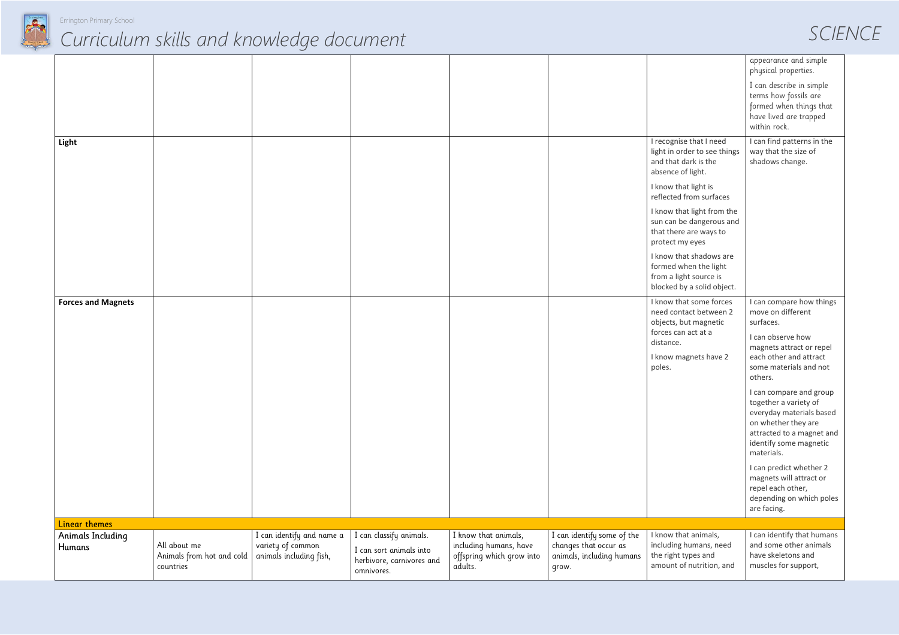

#### *SCIENCE*

|                             |                                                        |                                                                           |                                                                                               |                                                                                        |                                                                                           |                                                                                                                                                                                                                                                                                                                                                                            | appearance and simple<br>physical properties.<br>I can describe in simple<br>terms how fossils are<br>formed when things that<br>have lived are trapped<br>within rock.                                                                                                                                                                                                                                                                                                      |
|-----------------------------|--------------------------------------------------------|---------------------------------------------------------------------------|-----------------------------------------------------------------------------------------------|----------------------------------------------------------------------------------------|-------------------------------------------------------------------------------------------|----------------------------------------------------------------------------------------------------------------------------------------------------------------------------------------------------------------------------------------------------------------------------------------------------------------------------------------------------------------------------|------------------------------------------------------------------------------------------------------------------------------------------------------------------------------------------------------------------------------------------------------------------------------------------------------------------------------------------------------------------------------------------------------------------------------------------------------------------------------|
| Light                       |                                                        |                                                                           |                                                                                               |                                                                                        |                                                                                           | I recognise that I need<br>light in order to see things<br>and that dark is the<br>absence of light.<br>I know that light is<br>reflected from surfaces<br>I know that light from the<br>sun can be dangerous and<br>that there are ways to<br>protect my eyes<br>I know that shadows are<br>formed when the light<br>from a light source is<br>blocked by a solid object. | I can find patterns in the<br>way that the size of<br>shadows change.                                                                                                                                                                                                                                                                                                                                                                                                        |
| <b>Forces and Magnets</b>   |                                                        |                                                                           |                                                                                               |                                                                                        |                                                                                           | I know that some forces<br>need contact between 2<br>objects, but magnetic<br>forces can act at a<br>distance.<br>I know magnets have 2<br>poles.                                                                                                                                                                                                                          | I can compare how things<br>move on different<br>surfaces.<br>I can observe how<br>magnets attract or repel<br>each other and attract<br>some materials and not<br>others.<br>I can compare and group<br>together a variety of<br>everyday materials based<br>on whether they are<br>attracted to a magnet and<br>identify some magnetic<br>materials.<br>I can predict whether 2<br>magnets will attract or<br>repel each other,<br>depending on which poles<br>are facing. |
| <b>Linear themes</b>        |                                                        |                                                                           |                                                                                               |                                                                                        |                                                                                           |                                                                                                                                                                                                                                                                                                                                                                            |                                                                                                                                                                                                                                                                                                                                                                                                                                                                              |
| Animals Including<br>Humans | All about me<br>Animals from hot and cold<br>countries | I can identify and name a<br>variety of common<br>animals including fish, | I can classify animals.<br>I can sort animals into<br>herbivore, carnivores and<br>omnivores. | I know that animals,<br>including humans, have<br>offspring which grow into<br>adults. | I can identify some of the<br>changes that occur as<br>animals, including humans<br>grow. | I know that animals,<br>including humans, need<br>the right types and<br>amount of nutrition, and                                                                                                                                                                                                                                                                          | I can identify that humans<br>and some other animals<br>have skeletons and<br>muscles for support,                                                                                                                                                                                                                                                                                                                                                                           |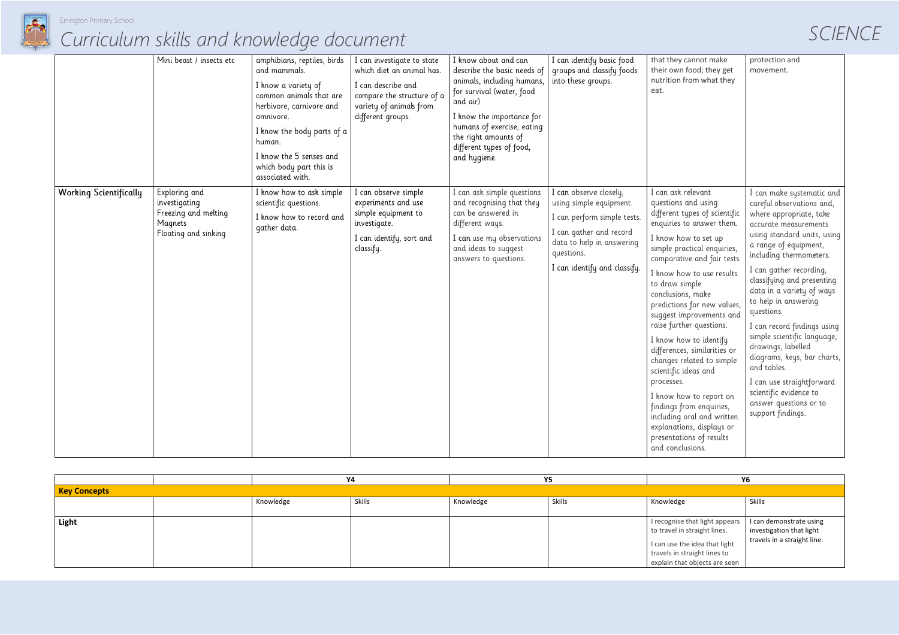

|                                                                                                                                                                                                                                                                   |                                                                                                                                                                                                                                                                                     | SCIENCE |
|-------------------------------------------------------------------------------------------------------------------------------------------------------------------------------------------------------------------------------------------------------------------|-------------------------------------------------------------------------------------------------------------------------------------------------------------------------------------------------------------------------------------------------------------------------------------|---------|
| that they cannot make<br>their own food; they get<br>nutrition from what they<br>eat.                                                                                                                                                                             | protection and<br>movement.                                                                                                                                                                                                                                                         |         |
| I can ask relevant<br>questions and using<br>different types of scientific<br>enquiries to answer them.<br>I know how to set up<br>simple practical enquiries,<br>comparative and fair tests.<br>I know how to use results<br>to draw simple<br>conclusions, make | I can make systematic and<br>careful observations and,<br>where appropriate, take<br>accurate measurements<br>using standard units, using<br>a range of equipment,<br>including thermometers.<br>I can gather recording,<br>classifying and presenting<br>data in a variety of ways |         |
| predictions for new values,<br>suggest improvements and<br>raise further questions.<br>I know how to identify<br>differences, similarities or                                                                                                                     | to help in answering<br>questions.<br>I can record findings using<br>simple scientific language,<br>drawings, labelled                                                                                                                                                              |         |
| changes related to simple<br>scientific ideas and<br>processes.                                                                                                                                                                                                   | diagrams, keys, bar charts,<br>and tables.<br>I can use straightforward                                                                                                                                                                                                             |         |
| I know how to report on<br>findings from enquiries,<br>including oral and written<br>explanations, displays or<br>presentations of results<br>and conclusions.                                                                                                    | scientific evidence to<br>answer questions or to<br>support findings.                                                                                                                                                                                                               |         |

|                               | Mini beast / insects etc                                                                  | amphibians, reptiles, birds<br>and mammals.<br>I know a variety of<br>common animals that are<br>herbivore, carnivore and<br>omnivore.<br>I know the body parts of a<br>human.<br>I know the 5 senses and<br>which body part this is<br>associated with. | I can investigate to state<br>which diet an animal has.<br>I can describe and<br>compare the structure of a<br>variety of animals from<br>different groups. | I know about and can<br>describe the basic needs of<br>animals, including humans,<br>for survival (water, food<br>and air)<br>I know the importance for<br>humans of exercise, eating<br>the right amounts of<br>different types of food,<br>and hygiene. | I can identify basic food<br>groups and classify foods<br>into these groups.                                                                                                           | that they<br>their own<br>nutrition<br>eat.                                                                                                                                                                                                                                                                                     |
|-------------------------------|-------------------------------------------------------------------------------------------|----------------------------------------------------------------------------------------------------------------------------------------------------------------------------------------------------------------------------------------------------------|-------------------------------------------------------------------------------------------------------------------------------------------------------------|-----------------------------------------------------------------------------------------------------------------------------------------------------------------------------------------------------------------------------------------------------------|----------------------------------------------------------------------------------------------------------------------------------------------------------------------------------------|---------------------------------------------------------------------------------------------------------------------------------------------------------------------------------------------------------------------------------------------------------------------------------------------------------------------------------|
| <b>Working Scientifically</b> | Exploring and<br>investigating<br>Freezing and melting<br>Magnets<br>Floating and sinking | I know how to ask simple<br>scientific questions.<br>I know how to record and<br>gather data.                                                                                                                                                            | I can observe simple<br>experiments and use<br>simple equipment to<br>investigate.<br>I can identify, sort and<br>classify.                                 | I can ask simple questions<br>and recognising that they<br>can be answered in<br>different ways.<br>I can use my observations<br>and ideas to suggest<br>answers to questions.                                                                            | I can observe closely,<br>using simple equipment.<br>I can perform simple tests.<br>I can gather and record<br>data to help in answering<br>questions.<br>I can identify and classify. | I can ask<br>questions<br>different t<br>enquiries<br>I know ho<br>simple pro<br>comparat<br>I know ho<br>to draw s<br>conclusior<br>predictior<br>suggest ir<br>raise furtl<br>I know ho<br>difference<br>changes r<br>scientific<br>processes<br>I know ho<br>findings f<br>including<br>explanatio<br>presentat<br>and concl |

|                     |           | Υ4     | Y5        |        |                                                                | Υ6                          |  |  |
|---------------------|-----------|--------|-----------|--------|----------------------------------------------------------------|-----------------------------|--|--|
| <b>Key Concepts</b> |           |        |           |        |                                                                |                             |  |  |
|                     | Knowledge | Skills | Knowledge | Skills | Knowledge                                                      | Skills                      |  |  |
|                     |           |        |           |        |                                                                |                             |  |  |
| Light               |           |        |           |        | I recognise that light appears $\vert$ I can demonstrate using |                             |  |  |
|                     |           |        |           |        | to travel in straight lines.                                   | investigation that light    |  |  |
|                     |           |        |           |        | I can use the idea that light                                  | travels in a straight line. |  |  |
|                     |           |        |           |        | travels in straight lines to                                   |                             |  |  |
|                     |           |        |           |        | explain that objects are seen                                  |                             |  |  |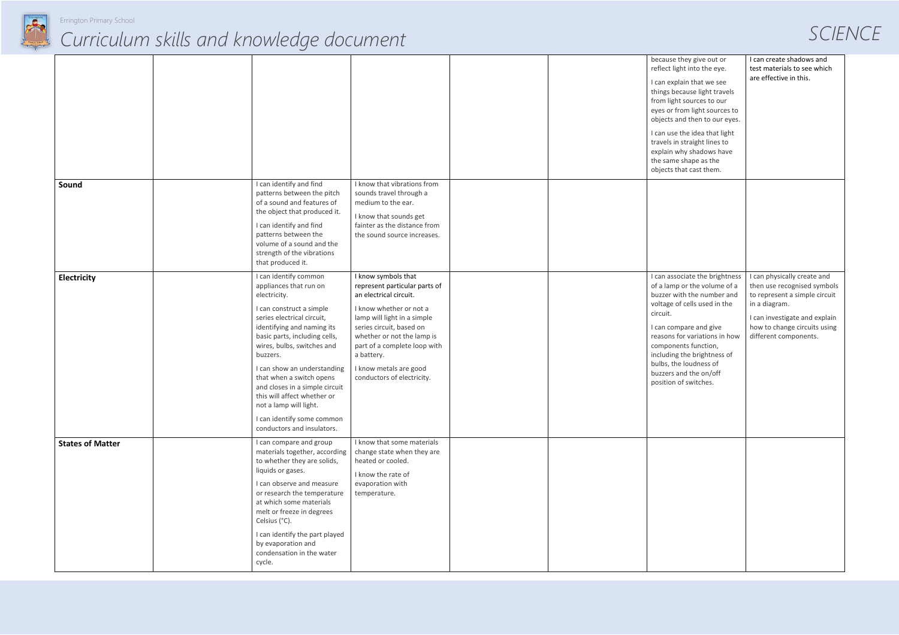

*SCIENCE*

| because they give out or<br>reflect light into the eye.<br>I can explain that we see<br>things because light travels<br>from light sources to our<br>eyes or from light sources to<br>objects and then to our eyes.<br>I can use the idea that light<br>travels in straight lines to<br>explain why shadows have<br>the same shape as the | I can create shadows and<br>test materials to see which<br>are effective in this.                                                                                                                      |
|-------------------------------------------------------------------------------------------------------------------------------------------------------------------------------------------------------------------------------------------------------------------------------------------------------------------------------------------|--------------------------------------------------------------------------------------------------------------------------------------------------------------------------------------------------------|
| objects that cast them.                                                                                                                                                                                                                                                                                                                   |                                                                                                                                                                                                        |
| I can associate the brightness<br>of a lamp or the volume of a<br>buzzer with the number and<br>voltage of cells used in the<br>circuit.<br>I can compare and give<br>reasons for variations in how<br>components function,<br>including the brightness of<br>bulbs, the loudness of<br>buzzers and the on/off<br>position of switches.   | I can physically create and<br>then use recognised symbols<br>to represent a simple circuit<br>in a diagram.<br>I can investigate and explain<br>how to change circuits using<br>different components. |
|                                                                                                                                                                                                                                                                                                                                           |                                                                                                                                                                                                        |

|                         |                                                                                                                                                                                                                                                                                                                                                                                                                                                      |                                                                                                                                                                                                                                                                                                          |  | because<br>reflect li<br>I can exp<br>things b<br>from ligl<br>eyes or f<br>objects a<br>I can use<br>travels i<br>explain<br>the sam<br>objects t |
|-------------------------|------------------------------------------------------------------------------------------------------------------------------------------------------------------------------------------------------------------------------------------------------------------------------------------------------------------------------------------------------------------------------------------------------------------------------------------------------|----------------------------------------------------------------------------------------------------------------------------------------------------------------------------------------------------------------------------------------------------------------------------------------------------------|--|----------------------------------------------------------------------------------------------------------------------------------------------------|
| Sound                   | I can identify and find<br>patterns between the pitch<br>of a sound and features of<br>the object that produced it.<br>I can identify and find<br>patterns between the<br>volume of a sound and the<br>strength of the vibrations<br>that produced it.                                                                                                                                                                                               | I know that vibrations from<br>sounds travel through a<br>medium to the ear.<br>I know that sounds get<br>fainter as the distance from<br>the sound source increases.                                                                                                                                    |  |                                                                                                                                                    |
| Electricity             | I can identify common<br>appliances that run on<br>electricity.<br>I can construct a simple<br>series electrical circuit,<br>identifying and naming its<br>basic parts, including cells,<br>wires, bulbs, switches and<br>buzzers.<br>I can show an understanding<br>that when a switch opens<br>and closes in a simple circuit<br>this will affect whether or<br>not a lamp will light.<br>I can identify some common<br>conductors and insulators. | I know symbols that<br>represent particular parts of<br>an electrical circuit.<br>I know whether or not a<br>lamp will light in a simple<br>series circuit, based on<br>whether or not the lamp is<br>part of a complete loop with<br>a battery.<br>I know metals are good<br>conductors of electricity. |  | I can ass<br>of a lam<br>buzzer v<br>voltage<br>circuit.<br>I can cor<br>reasons<br>compon<br>includin<br>bulbs, th<br>buzzers<br>position         |
| <b>States of Matter</b> | I can compare and group<br>materials together, according<br>to whether they are solids,<br>liquids or gases.<br>I can observe and measure<br>or research the temperature<br>at which some materials<br>melt or freeze in degrees<br>Celsius (°C).<br>I can identify the part played<br>by evaporation and<br>condensation in the water<br>cycle.                                                                                                     | I know that some materials<br>change state when they are<br>heated or cooled.<br>I know the rate of<br>evaporation with<br>temperature.                                                                                                                                                                  |  |                                                                                                                                                    |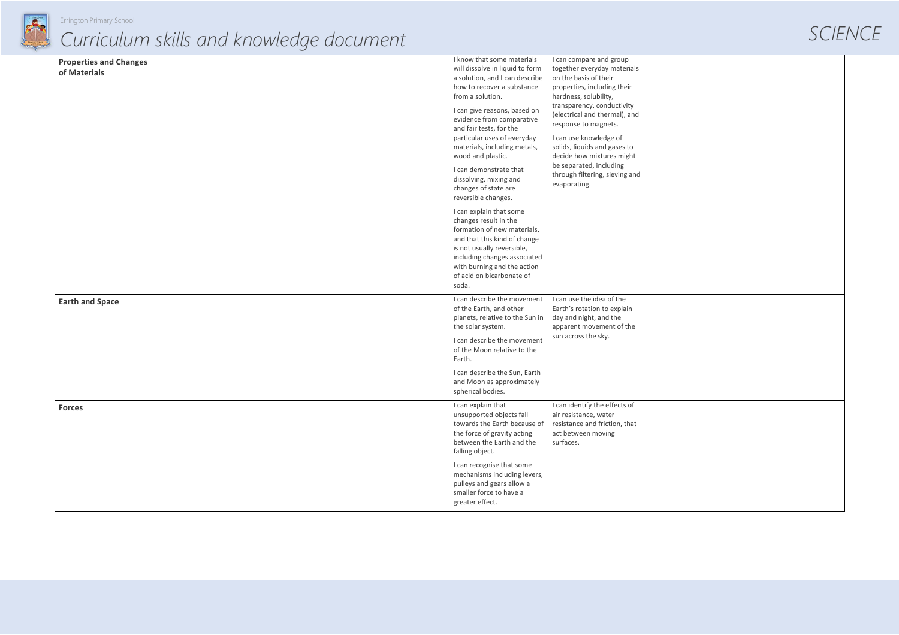



| <b>Properties and Changes</b><br>of Materials |  | I know that some materials<br>will dissolve in liquid to form<br>a solution, and I can describe<br>how to recover a substance<br>from a solution.<br>I can give reasons, based on<br>evidence from comparative<br>and fair tests, for the<br>particular uses of everyday<br>materials, including metals,<br>wood and plastic.<br>I can demonstrate that<br>dissolving, mixing and<br>changes of state are<br>reversible changes.<br>I can explain that some<br>changes result in the<br>formation of new materials, | I can compare and group<br>together everyday materials<br>on the basis of their<br>properties, including their<br>hardness, solubility,<br>transparency, conductivity<br>(electrical and thermal), and<br>response to magnets.<br>I can use knowledge of<br>solids, liquids and gases to<br>decide how mixtures might<br>be separated, including<br>through filtering, sieving and<br>evaporating. |  |
|-----------------------------------------------|--|---------------------------------------------------------------------------------------------------------------------------------------------------------------------------------------------------------------------------------------------------------------------------------------------------------------------------------------------------------------------------------------------------------------------------------------------------------------------------------------------------------------------|----------------------------------------------------------------------------------------------------------------------------------------------------------------------------------------------------------------------------------------------------------------------------------------------------------------------------------------------------------------------------------------------------|--|
|                                               |  | and that this kind of change<br>is not usually reversible,<br>including changes associated<br>with burning and the action<br>of acid on bicarbonate of<br>soda.                                                                                                                                                                                                                                                                                                                                                     |                                                                                                                                                                                                                                                                                                                                                                                                    |  |
| <b>Earth and Space</b>                        |  | I can describe the movement<br>of the Earth, and other<br>planets, relative to the Sun in<br>the solar system.<br>I can describe the movement<br>of the Moon relative to the<br>Earth.<br>I can describe the Sun, Earth<br>and Moon as approximately<br>spherical bodies.                                                                                                                                                                                                                                           | I can use the idea of the<br>Earth's rotation to explain<br>day and night, and the<br>apparent movement of the<br>sun across the sky.                                                                                                                                                                                                                                                              |  |
| <b>Forces</b>                                 |  | I can explain that<br>unsupported objects fall<br>towards the Earth because of<br>the force of gravity acting<br>between the Earth and the<br>falling object.<br>I can recognise that some<br>mechanisms including levers,<br>pulleys and gears allow a<br>smaller force to have a<br>greater effect.                                                                                                                                                                                                               | I can identify the effects of<br>air resistance, water<br>resistance and friction, that<br>act between moving<br>surfaces.                                                                                                                                                                                                                                                                         |  |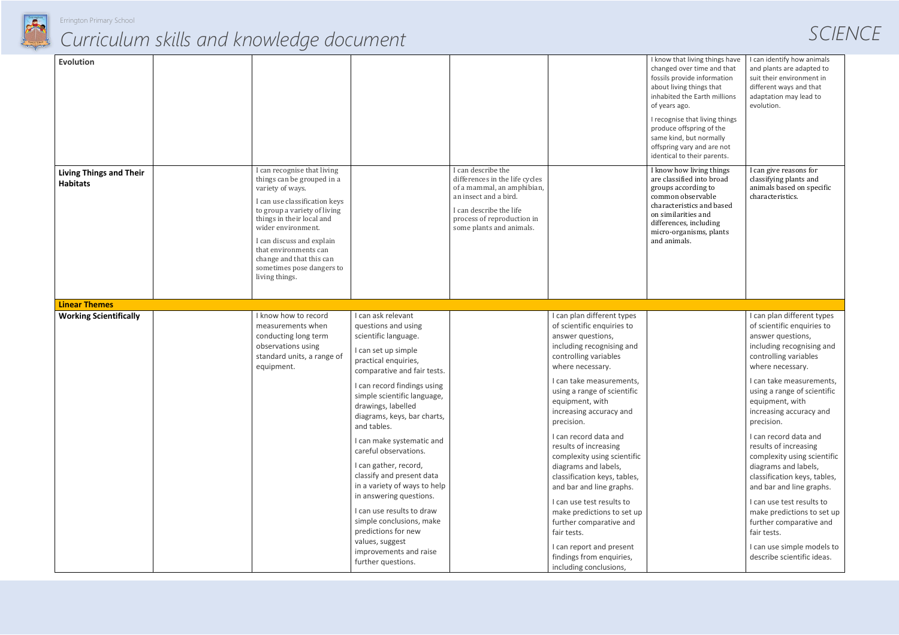

#### Errington Primary School

| SCIENCE |  |  |
|---------|--|--|
|         |  |  |

| <b>Evolution</b>                                  |                                                                                                                                                                                                                                                                                                                                    |                                                                                                                                                                                                                                                                                                                        |                                                                                                                                                                                                  |                                                                                                                                                                                                                                                                                                                                 | I know that living things have<br>changed over time and that<br>fossils provide information<br>about living things that<br>inhabited the Earth millions<br>of years ago.<br>I recognise that living things<br>produce offspring of the<br>same kind, but normally<br>offspring vary and are not<br>identical to their parents. |
|---------------------------------------------------|------------------------------------------------------------------------------------------------------------------------------------------------------------------------------------------------------------------------------------------------------------------------------------------------------------------------------------|------------------------------------------------------------------------------------------------------------------------------------------------------------------------------------------------------------------------------------------------------------------------------------------------------------------------|--------------------------------------------------------------------------------------------------------------------------------------------------------------------------------------------------|---------------------------------------------------------------------------------------------------------------------------------------------------------------------------------------------------------------------------------------------------------------------------------------------------------------------------------|--------------------------------------------------------------------------------------------------------------------------------------------------------------------------------------------------------------------------------------------------------------------------------------------------------------------------------|
| <b>Living Things and Their</b><br><b>Habitats</b> | I can recognise that living<br>things can be grouped in a<br>variety of ways.<br>I can use classification keys<br>to group a variety of living<br>things in their local and<br>wider environment.<br>I can discuss and explain<br>that environments can<br>change and that this can<br>sometimes pose dangers to<br>living things. |                                                                                                                                                                                                                                                                                                                        | I can describe the<br>differences in the life cycles<br>of a mammal, an amphibian,<br>an insect and a bird.<br>I can describe the life<br>process of reproduction in<br>some plants and animals. |                                                                                                                                                                                                                                                                                                                                 | I know how living things<br>are classified into broad<br>groups according to<br>common observable<br>characteristics and based<br>on similarities and<br>differences, including<br>micro-organisms, plants<br>and animals.                                                                                                     |
| <b>Linear Themes</b>                              |                                                                                                                                                                                                                                                                                                                                    |                                                                                                                                                                                                                                                                                                                        |                                                                                                                                                                                                  |                                                                                                                                                                                                                                                                                                                                 |                                                                                                                                                                                                                                                                                                                                |
| <b>Working Scientifically</b>                     | I know how to record<br>measurements when<br>conducting long term<br>observations using<br>standard units, a range of<br>equipment.                                                                                                                                                                                                | I can ask relevant<br>questions and using<br>scientific language.<br>I can set up simple<br>practical enquiries,<br>comparative and fair tests.<br>I can record findings using<br>simple scientific language,<br>drawings, labelled<br>diagrams, keys, bar charts,<br>and tables.                                      |                                                                                                                                                                                                  | I can plan different types<br>of scientific enquiries to<br>answer questions,<br>including recognising and<br>controlling variables<br>where necessary.<br>I can take measurements,<br>using a range of scientific<br>equipment, with<br>increasing accuracy and<br>precision.<br>I can record data and                         |                                                                                                                                                                                                                                                                                                                                |
|                                                   |                                                                                                                                                                                                                                                                                                                                    | I can make systematic and<br>careful observations.<br>I can gather, record,<br>classify and present data<br>in a variety of ways to help<br>in answering questions.<br>I can use results to draw<br>simple conclusions, make<br>predictions for new<br>values, suggest<br>improvements and raise<br>further questions. |                                                                                                                                                                                                  | results of increasing<br>complexity using scientific<br>diagrams and labels,<br>classification keys, tables,<br>and bar and line graphs.<br>I can use test results to<br>make predictions to set up<br>further comparative and<br>fair tests.<br>I can report and present<br>findings from enquiries,<br>including conclusions, |                                                                                                                                                                                                                                                                                                                                |

| I know that living things have<br>changed over time and that<br>fossils provide information<br>about living things that<br>inhabited the Earth millions<br>of years ago.                                                   | I can identify how animals<br>and plants are adapted to<br>suit their environment in<br>different ways and that<br>adaptation may lead to<br>evolution.           |
|----------------------------------------------------------------------------------------------------------------------------------------------------------------------------------------------------------------------------|-------------------------------------------------------------------------------------------------------------------------------------------------------------------|
| I recognise that living things<br>produce offspring of the<br>same kind, but normally<br>offspring vary and are not<br>identical to their parents.                                                                         |                                                                                                                                                                   |
| I know how living things<br>are classified into broad<br>groups according to<br>common observable<br>characteristics and based<br>on similarities and<br>differences, including<br>micro-organisms, plants<br>and animals. | I can give reasons for<br>classifying plants and<br>animals based on specific<br>characteristics.                                                                 |
|                                                                                                                                                                                                                            |                                                                                                                                                                   |
|                                                                                                                                                                                                                            |                                                                                                                                                                   |
|                                                                                                                                                                                                                            | I can plan different types<br>of scientific enquiries to<br>answer questions,<br>including recognising and<br>controlling variables<br>where necessary.           |
|                                                                                                                                                                                                                            | I can take measurements,<br>using a range of scientific<br>equipment, with<br>increasing accuracy and<br>precision.                                               |
|                                                                                                                                                                                                                            | I can record data and<br>results of increasing<br>complexity using scientific<br>diagrams and labels,<br>classification keys, tables,<br>and bar and line graphs. |
|                                                                                                                                                                                                                            | I can use test results to<br>make predictions to set up<br>further comparative and<br>fair tests.                                                                 |